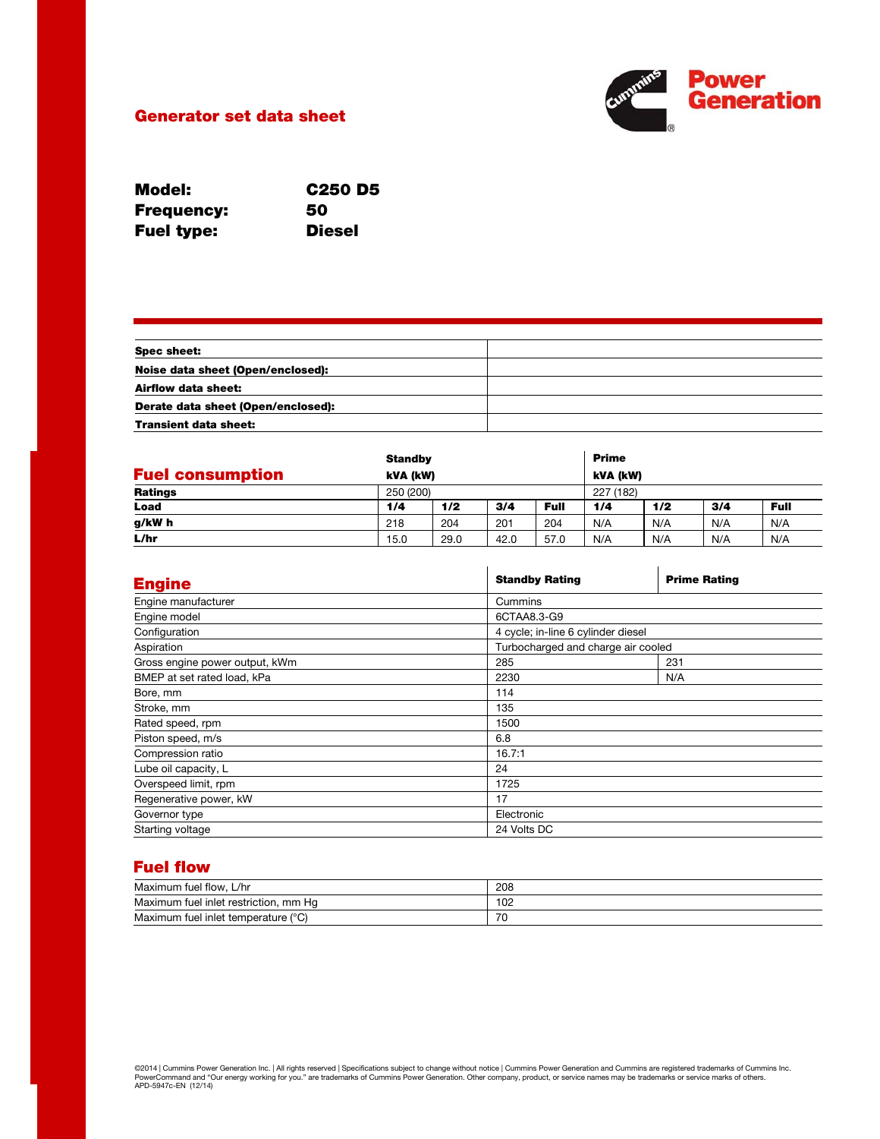

### Generator set data sheet

| Model:            | C <sub>250</sub> D <sub>5</sub> |
|-------------------|---------------------------------|
| <b>Frequency:</b> | 50                              |
| <b>Fuel type:</b> | <b>Diesel</b>                   |

| <b>Spec sheet:</b>                 |  |
|------------------------------------|--|
| Noise data sheet (Open/enclosed):  |  |
| Airflow data sheet:                |  |
| Derate data sheet (Open/enclosed): |  |
| <b>Transient data sheet:</b>       |  |

|                         |      | <b>Standby</b> |      |           | <b>Prime</b> |     |     |      |
|-------------------------|------|----------------|------|-----------|--------------|-----|-----|------|
| <b>Fuel consumption</b> |      | kVA (kW)       |      |           | kVA (kW)     |     |     |      |
| <b>Ratings</b>          |      | 250 (200)      |      | 227 (182) |              |     |     |      |
| Load                    | 1/4  | 1/2            | 3/4  | Full      | 1/4          | 1/2 | 3/4 | Full |
| g/kW h                  | 218  | 204            | 201  | 204       | N/A          | N/A | N/A | N/A  |
| L/hr                    | 15.0 | 29.0           | 42.0 | 57.0      | N/A          | N/A | N/A | N/A  |

| <b>Engine</b>                  | <b>Standby Rating</b>              | <b>Prime Rating</b> |  |  |
|--------------------------------|------------------------------------|---------------------|--|--|
| Engine manufacturer            | Cummins                            |                     |  |  |
| Engine model                   | 6CTAA8.3-G9                        |                     |  |  |
| Configuration                  | 4 cycle; in-line 6 cylinder diesel |                     |  |  |
| Aspiration                     | Turbocharged and charge air cooled |                     |  |  |
| Gross engine power output, kWm | 285                                | 231                 |  |  |
| BMEP at set rated load, kPa    | 2230                               | N/A                 |  |  |
| Bore, mm                       | 114                                |                     |  |  |
| Stroke, mm                     | 135                                |                     |  |  |
| Rated speed, rpm               | 1500                               |                     |  |  |
| Piston speed, m/s              | 6.8                                |                     |  |  |
| Compression ratio              | 16.7:1                             |                     |  |  |
| Lube oil capacity, L           | 24                                 |                     |  |  |
| Overspeed limit, rpm           | 1725                               |                     |  |  |
| Regenerative power, kW         | 17                                 |                     |  |  |
| Governor type                  | Electronic                         |                     |  |  |
| Starting voltage               | 24 Volts DC                        |                     |  |  |

### Fuel flow

| Maximum fuel flow.<br>. L∕hr             | 208 |
|------------------------------------------|-----|
| Maximum fuel inlet restriction, mm<br>Ha | 102 |
| Maximum fuel inlet temperature (°C)      | 70  |

©2014 | Cummins Power Generation Inc. | All rights reserved | Specifications subject to change without notice | Cummins Power Generation and Cummins are registered trademarks of Cummins Inc.<br>PowerCommand and "Our energy w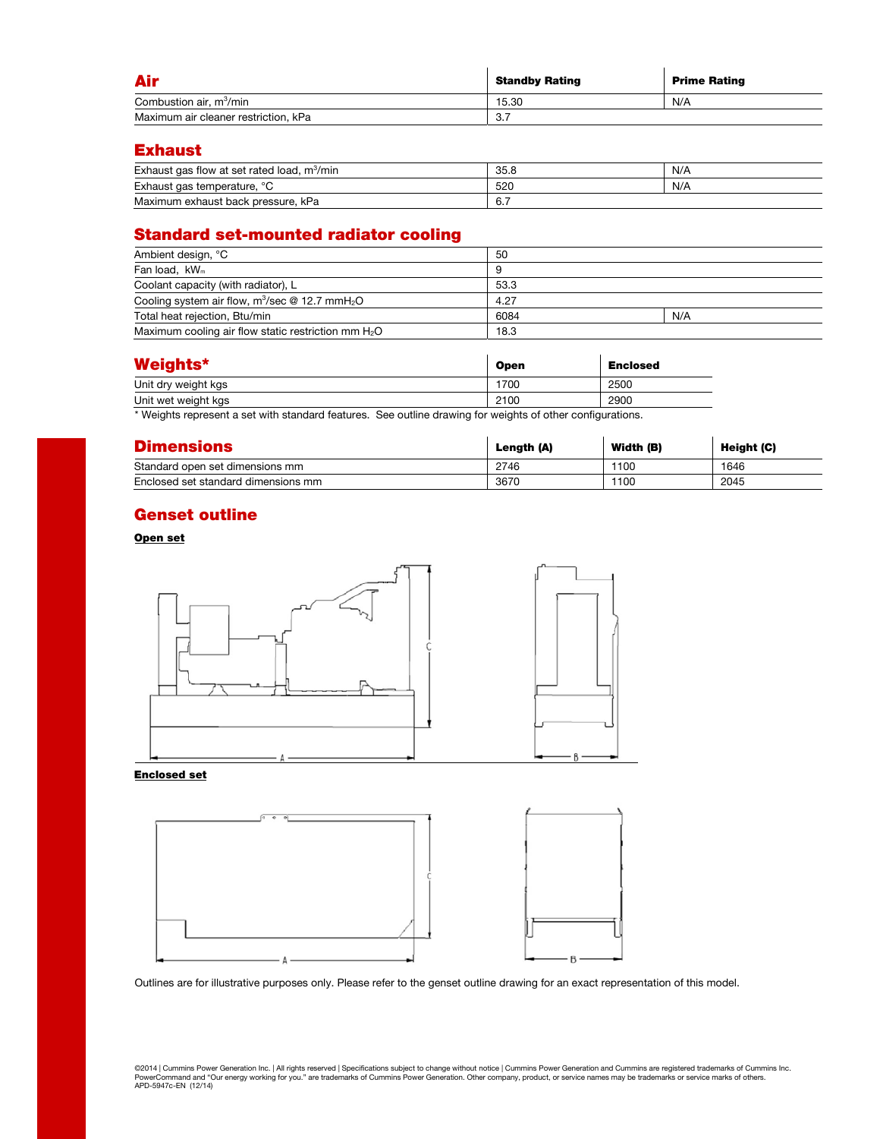| Air                                  | <b>Standby Rating</b> | <b>Prime Rating</b> |
|--------------------------------------|-----------------------|---------------------|
| Combustion air, m <sup>3</sup> /min  | 15.30                 | N/A                 |
| Maximum air cleaner restriction, kPa | 3.7                   |                     |

### Exhaust

| Exhaust gas flow at set rated load, $m^3/m$ in | 35.8               | N/A |
|------------------------------------------------|--------------------|-----|
| Exhaust gas temperature, °C                    | 520                | N/A |
| Maximum exhaust back pressure, kPa             | -<br>$\sim$<br>0.1 |     |

# Standard set-mounted radiator cooling

| Ambient design, °C                                            | 50   |     |  |
|---------------------------------------------------------------|------|-----|--|
| Fan load, kW <sub>m</sub>                                     |      |     |  |
| Coolant capacity (with radiator), L                           | 53.3 |     |  |
| Cooling system air flow, $m^3$ /sec @ 12.7 mmH <sub>2</sub> O | 4.27 |     |  |
| Total heat rejection, Btu/min                                 | 6084 | N/A |  |
| Maximum cooling air flow static restriction mm $H_2O$         | 18.3 |     |  |

| <b>Weights*</b>     | <b>Open</b> | <b>Enclosed</b> |
|---------------------|-------------|-----------------|
| Unit dry weight kgs | 1700        | 2500            |
| Unit wet weight kgs | 2100        | 2900            |

\* Weights represent a set with standard features. See outline drawing for weights of other configurations.

| <b>Dimensions</b>                   | Length (A) | Width (B) | Height (C) |
|-------------------------------------|------------|-----------|------------|
| Standard open set dimensions mm     | 2746       | 1100      | 1646       |
| Enclosed set standard dimensions mm | 3670       | 1100      | 2045       |

### Genset outline

### Open set



#### Enclosed set



Outlines are for illustrative purposes only. Please refer to the genset outline drawing for an exact representation of this model.

©2014 | Cummins Power Generation Inc. | All rights reserved | Specifications subject to change without notice | Cummins Power Generation and Cummins are registered trademarks of Cummins Inc.<br>PowerCommand and "Our energy w